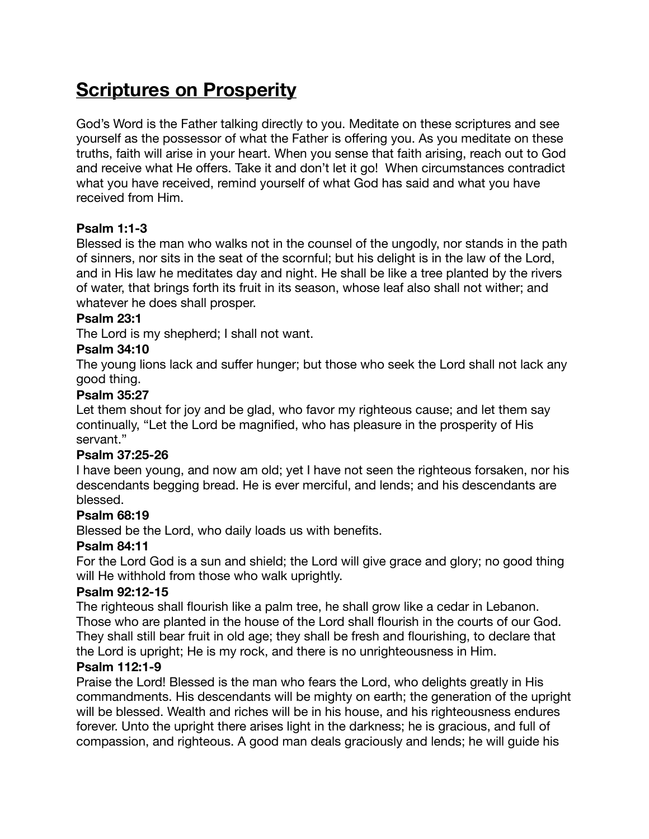# **Scriptures on Prosperity**

God's Word is the Father talking directly to you. Meditate on these scriptures and see yourself as the possessor of what the Father is offering you. As you meditate on these truths, faith will arise in your heart. When you sense that faith arising, reach out to God and receive what He offers. Take it and don't let it go! When circumstances contradict what you have received, remind yourself of what God has said and what you have received from Him.

# **Psalm 1:1-3**

Blessed is the man who walks not in the counsel of the ungodly, nor stands in the path of sinners, nor sits in the seat of the scornful; but his delight is in the law of the Lord, and in His law he meditates day and night. He shall be like a tree planted by the rivers of water, that brings forth its fruit in its season, whose leaf also shall not wither; and whatever he does shall prosper.

## **Psalm 23:1**

The Lord is my shepherd; I shall not want.

#### **Psalm 34:10**

The young lions lack and suffer hunger; but those who seek the Lord shall not lack any good thing.

#### **Psalm 35:27**

Let them shout for joy and be glad, who favor my righteous cause; and let them say continually, "Let the Lord be magnified, who has pleasure in the prosperity of His servant."

## **Psalm 37:25-26**

I have been young, and now am old; yet I have not seen the righteous forsaken, nor his descendants begging bread. He is ever merciful, and lends; and his descendants are blessed.

## **Psalm 68:19**

Blessed be the Lord, who daily loads us with benefits.

## **Psalm 84:11**

For the Lord God is a sun and shield; the Lord will give grace and glory; no good thing will He withhold from those who walk uprightly.

#### **Psalm 92:12-15**

The righteous shall flourish like a palm tree, he shall grow like a cedar in Lebanon. Those who are planted in the house of the Lord shall flourish in the courts of our God. They shall still bear fruit in old age; they shall be fresh and flourishing, to declare that the Lord is upright; He is my rock, and there is no unrighteousness in Him.

## **Psalm 112:1-9**

Praise the Lord! Blessed is the man who fears the Lord, who delights greatly in His commandments. His descendants will be mighty on earth; the generation of the upright will be blessed. Wealth and riches will be in his house, and his righteousness endures forever. Unto the upright there arises light in the darkness; he is gracious, and full of compassion, and righteous. A good man deals graciously and lends; he will guide his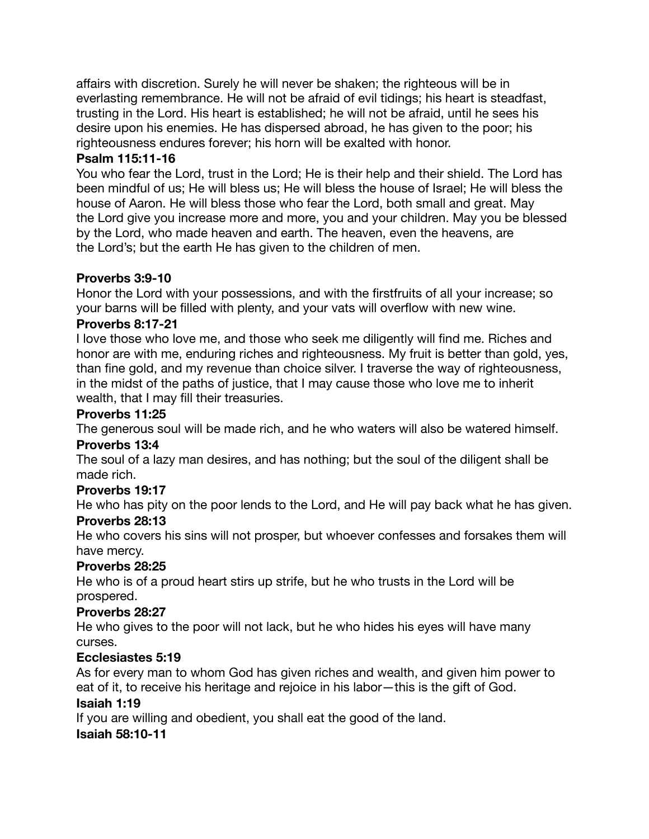affairs with discretion. Surely he will never be shaken; the righteous will be in everlasting remembrance. He will not be afraid of evil tidings; his heart is steadfast, trusting in the Lord. His heart is established; he will not be afraid, until he sees his desire upon his enemies. He has dispersed abroad, he has given to the poor; his righteousness endures forever; his horn will be exalted with honor.

# **Psalm 115:11-16**

You who fear the Lord, trust in the Lord; He is their help and their shield. The Lord has been mindful of us; He will bless us; He will bless the house of Israel; He will bless the house of Aaron. He will bless those who fear the Lord, both small and great. May the Lord give you increase more and more, you and your children. May you be blessed by the Lord, who made heaven and earth. The heaven, even the heavens, are the Lord's; but the earth He has given to the children of men.

# **Proverbs 3:9-10**

Honor the Lord with your possessions, and with the firstfruits of all your increase; so your barns will be filled with plenty, and your vats will overflow with new wine.

# **Proverbs 8:17-21**

I love those who love me, and those who seek me diligently will find me. Riches and honor are with me, enduring riches and righteousness. My fruit is better than gold, yes, than fine gold, and my revenue than choice silver. I traverse the way of righteousness, in the midst of the paths of justice, that I may cause those who love me to inherit wealth, that I may fill their treasuries.

# **Proverbs 11:25**

The generous soul will be made rich, and he who waters will also be watered himself.

## **Proverbs 13:4**

The soul of a lazy man desires, and has nothing; but the soul of the diligent shall be made rich.

# **Proverbs 19:17**

He who has pity on the poor lends to the Lord, and He will pay back what he has given. **Proverbs 28:13**

He who covers his sins will not prosper, but whoever confesses and forsakes them will have mercy.

# **Proverbs 28:25**

He who is of a proud heart stirs up strife, but he who trusts in the Lord will be prospered.

# **Proverbs 28:27**

He who gives to the poor will not lack, but he who hides his eyes will have many curses.

# **Ecclesiastes 5:19**

As for every man to whom God has given riches and wealth, and given him power to eat of it, to receive his heritage and rejoice in his labor—this is the gift of God.

## **Isaiah 1:19**

If you are willing and obedient, you shall eat the good of the land. **Isaiah 58:10-11**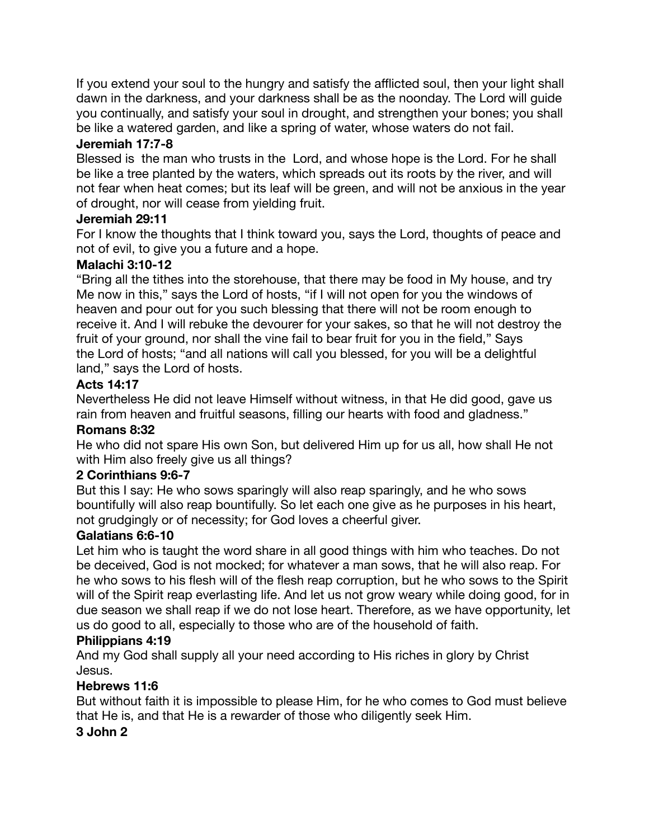If you extend your soul to the hungry and satisfy the afflicted soul, then your light shall dawn in the darkness, and your darkness shall be as the noonday. The Lord will guide you continually, and satisfy your soul in drought, and strengthen your bones; you shall be like a watered garden, and like a spring of water, whose waters do not fail.

# **Jeremiah 17:7-8**

Blessed is the man who trusts in the Lord, and whose hope is the Lord. For he shall be like a tree planted by the waters, which spreads out its roots by the river, and will not fear when heat comes; but its leaf will be green, and will not be anxious in the year of drought, nor will cease from yielding fruit.

# **Jeremiah 29:11**

For I know the thoughts that I think toward you, says the Lord, thoughts of peace and not of evil, to give you a future and a hope.

# **Malachi 3:10-12**

"Bring all the tithes into the storehouse, that there may be food in My house, and try Me now in this," says the Lord of hosts, "if I will not open for you the windows of heaven and pour out for you such blessing that there will not be room enough to receive it. And I will rebuke the devourer for your sakes, so that he will not destroy the fruit of your ground, nor shall the vine fail to bear fruit for you in the field," Says the Lord of hosts; "and all nations will call you blessed, for you will be a delightful land," says the Lord of hosts.

# **Acts 14:17**

Nevertheless He did not leave Himself without witness, in that He did good, gave us rain from heaven and fruitful seasons, filling our hearts with food and gladness."

## **Romans 8:32**

He who did not spare His own Son, but delivered Him up for us all, how shall He not with Him also freely give us all things?

# **2 Corinthians 9:6-7**

But this I say: He who sows sparingly will also reap sparingly, and he who sows bountifully will also reap bountifully. So let each one give as he purposes in his heart, not grudgingly or of necessity; for God loves a cheerful giver.

# **Galatians 6:6-10**

Let him who is taught the word share in all good things with him who teaches. Do not be deceived, God is not mocked; for whatever a man sows, that he will also reap. For he who sows to his flesh will of the flesh reap corruption, but he who sows to the Spirit will of the Spirit reap everlasting life. And let us not grow weary while doing good, for in due season we shall reap if we do not lose heart. Therefore, as we have opportunity, let us do good to all, especially to those who are of the household of faith.

## **Philippians 4:19**

And my God shall supply all your need according to His riches in glory by Christ Jesus.

## **Hebrews 11:6**

But without faith it is impossible to please Him, for he who comes to God must believe that He is, and that He is a rewarder of those who diligently seek Him.

## **3 John 2**